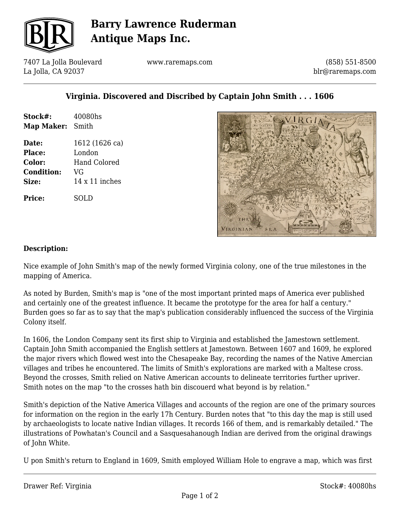

## **Barry Lawrence Ruderman Antique Maps Inc.**

7407 La Jolla Boulevard La Jolla, CA 92037

www.raremaps.com

(858) 551-8500 blr@raremaps.com

### **Virginia. Discovered and Discribed by Captain John Smith . . . 1606**

| Stock#:<br>Map Maker: Smith | 40080hs        |
|-----------------------------|----------------|
| Date:                       | 1612 (1626 ca) |
| Place:                      | London         |
| Color:                      | Hand Colored   |
| <b>Condition:</b>           | VG             |
| Size:                       | 14 x 11 inches |
| <b>Price:</b>               | SOLD           |



#### **Description:**

Nice example of John Smith's map of the newly formed Virginia colony, one of the true milestones in the mapping of America.

As noted by Burden, Smith's map is "one of the most important printed maps of America ever published and certainly one of the greatest influence. It became the prototype for the area for half a century." Burden goes so far as to say that the map's publication considerably influenced the success of the Virginia Colony itself.

In 1606, the London Company sent its first ship to Virginia and established the Jamestown settlement. Captain John Smith accompanied the English settlers at Jamestown. Between 1607 and 1609, he explored the major rivers which flowed west into the Chesapeake Bay, recording the names of the Native Amercian villages and tribes he encountered. The limits of Smith's explorations are marked with a Maltese cross. Beyond the crosses, Smith relied on Native American accounts to delineate territories further upriver. Smith notes on the map "to the crosses hath bin discouerd what beyond is by relation."

Smith's depiction of the Native America Villages and accounts of the region are one of the primary sources for information on the region in the early 17h Century. Burden notes that "to this day the map is still used by archaeologists to locate native Indian villages. It records 166 of them, and is remarkably detailed." The illustrations of Powhatan's Council and a Sasquesahanough Indian are derived from the original drawings of John White.

U pon Smith's return to England in 1609, Smith employed William Hole to engrave a map, which was first